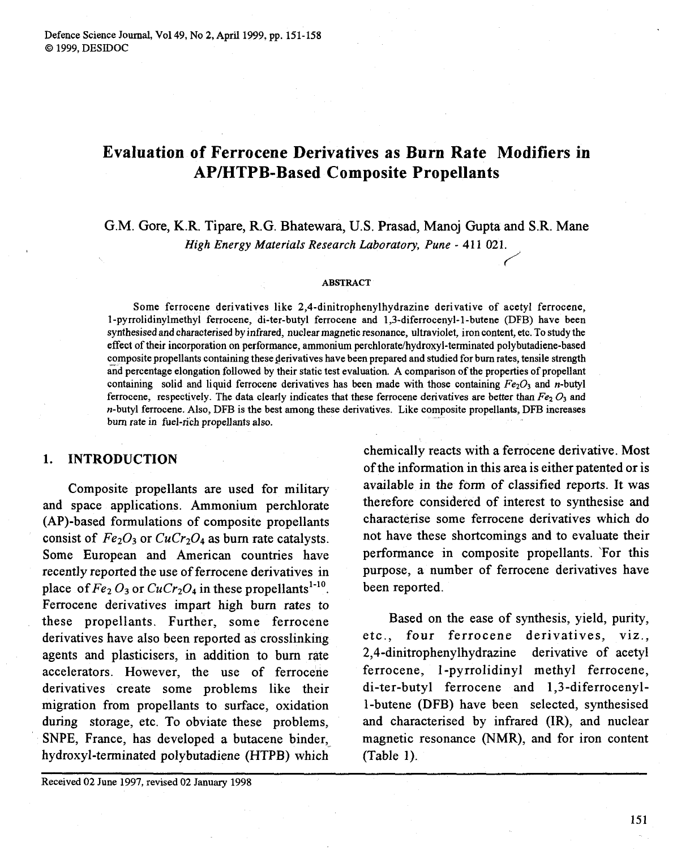# **Evaluation of Ferrocene Derivatives as Burn Rate Modifiers in AP/HTPB-Based Composite Propellants**

G.M. Gore, K.R. Tipare, R.G. Bhatewara, U.S. Prasad, Manoj Gupta and S.R. Mane<br>*High Energy Materials Research Laboratory*, *Pune* - 411 021. *High Energy Materials Research Laboratory, Pune* - *4 1* **1 02 1.** 

#### **ABSTRACT**

Some ferrocene derivatives like **2,4-dinitrophenylhydrazine** derivative of acetyl ferrocene, I-pyrrolidinylmethyl ferrocene, di-ter-butyl ferrocene and **1,3-diferrocenyl-1-butene** (DFB) have been synthesised and characterised by infrared, nuclear magnetic resonance, ultraviolet, iron content, etc. To study the effect of their incorporation on performance, ammonium **perchlorate/hydroxyl-terminated** polybutadiene-based composite propellants containing these derivatives have been prepared and studied for bum rates, tensile strength and percentage elongation followed by their static test evaluation. A comparison of the properties of propellant containing solid and liquid ferrocene derivatives has been made with those containing  $Fe<sub>2</sub>O<sub>3</sub>$  and n-butyl ferrocene, respectively. The data clearly indicates that these ferrocene derivatives are better than  $Fe<sub>2</sub> O<sub>3</sub>$  and n-butyl ferrocene. Also, DFB is the best among these derivatives. Like composite propellants, DFB increases bum rate in fuel-rich propellants also.

### **1. INTRODUCTION**

Composite propellants are used for military and space applications. Ammonium perchlorate (AP)-based formulations of composite propellants consist of  $Fe<sub>2</sub>O<sub>3</sub>$  or  $CuCr<sub>2</sub>O<sub>4</sub>$  as burn rate catalysts. Some European and American countries have recently reported the use of ferrocene derivatives in place of  $Fe<sub>2</sub> O<sub>3</sub>$  or  $CuCr<sub>2</sub>O<sub>4</sub>$  in these propellants<sup>1-10</sup>. Ferrocene derivatives impart high burn rates to these propellants. Further, some ferrocene derivatives have also been reported as crosslinking agents and plasticisers, in addition to bum rate accelerators. However, the use of ferrocene derivatives create some problems like their migration from propellants to surface, oxidation during storage, etc. To obviate these problems, SNPE, France, has developed a butacene binder, hydroxyl-terminated polybutadiene (HTPB) which

Received 02 June 1997, revised 02 January 1998

chemically reacts with a ferrocene derivative. Most of the information in this area is either patented or is available in the form of classified reports. It was therefore considered of interest to synthesise and characterise some ferrocene derivatives which do not have these shortcomings and to evaluate their performance in composite propellants. 'For this purpose, a number of ferrocene derivatives have been reported.

Based on the ease of synthesis, yield, purity, etc., four ferrocene derivatives, viz., **2,4-dinitrophenylhydrazine** derivative of acetyl ferrocene, 1-pyrrolidinyl methyl ferrocene, di-ter-butyl ferrocene and 1,3-diferrocenyl-1-butene (DFB) have been selected, synthesised and characterised by infrared (IR), and nuclear magnetic resonance (NMR), and for iron content (Table 1).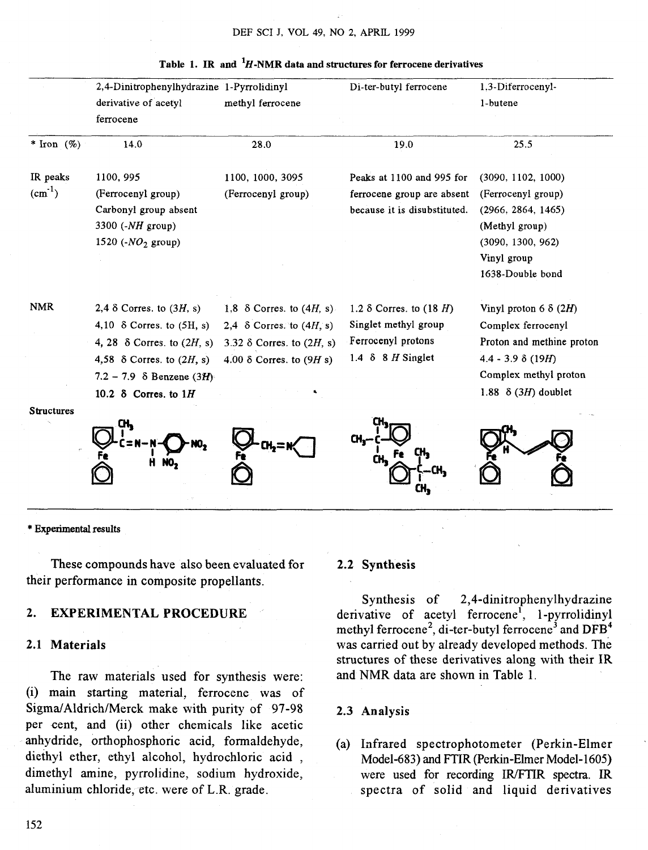|                      | 2,4-Dinitrophenylhydrazine 1-Pyrrolidinyl<br>derivative of acetyl<br>ferrocene                                                                                                                                       | methyl ferrocene                                                                                                                                  | Di-ter-butyl ferrocene                                                                                                          | 1,3-Diferrocenyl-<br>1-butene                                                                                                                                      |
|----------------------|----------------------------------------------------------------------------------------------------------------------------------------------------------------------------------------------------------------------|---------------------------------------------------------------------------------------------------------------------------------------------------|---------------------------------------------------------------------------------------------------------------------------------|--------------------------------------------------------------------------------------------------------------------------------------------------------------------|
| * Iron $(\% )$       | 14.0                                                                                                                                                                                                                 | 28.0                                                                                                                                              | 19.0                                                                                                                            | 25.5                                                                                                                                                               |
| IR peaks<br>$(cm-1)$ | 1100, 995<br>(Ferrocenyl group)<br>Carbonyl group absent<br>3300 $(-NH)$ group)<br>1520 ( $NO2$ group)                                                                                                               | 1100, 1000, 3095<br>(Ferrocenyl group)                                                                                                            | Peaks at 1100 and 995 for<br>ferrocene group are absent<br>because it is disubstituted.                                         | (3090, 1102, 1000)<br>(Ferrocenyl group)<br>(2966, 2864, 1465)<br>(Methyl group)<br>(3090, 1300, 962)<br>Vinyl group<br>1638-Double bond                           |
| <b>NMR</b>           | 2,4 $\delta$ Corres. to (3H, s)<br>4,10 $\delta$ Corres. to $(5H, s)$<br>4, 28 $\delta$ Corres. to $(2H, s)$<br>4,58 $\delta$ Corres. to $(2H, s)$<br>7.2 - 7.9 $\delta$ Benzene (3H)<br>10.2 $\delta$ Corres. to 1H | 1,8 $\delta$ Corres. to $(4H, s)$ .<br>2,4 $\delta$ Corres. to $(4H, s)$<br>3.32 $\delta$ Corres. to $(2H, s)$<br>4.00 $\delta$ Corres. to (9H s) | 1.2 $\delta$ Corres. to (18 H)<br>Singlet methyl group<br>Ferrocenyl protons<br>$1.4\text{ }8\text{ }8\text{ }H\text{ Singlet}$ | Vinyl proton 6 $\delta$ (2H)<br>Complex ferrocenyl<br>Proton and methine proton<br>$4.4 - 3.9 \delta (19H)$<br>Complex methyl proton<br>1.88 $\delta$ (3H) doublet |
| <b>Structures</b>    | CH,<br>н                                                                                                                                                                                                             |                                                                                                                                                   | CH,                                                                                                                             |                                                                                                                                                                    |

#### **Table 1. IR and 'H-NMR data and structures for ferrocene derivatives**

\* Experimental results

These compounds have also been evaluated for their performance in composite propellants.

### 2. EXPERIMENTAL PROCEDURE

#### 2.1 Materials

The raw materials used for synthesis were: (i) main starting material, ferrocene was of Sigma/Aldrich/Merck make with purity of 97-98 per cent, and (ii) other chemicals like acetic anhydride, orthophosphoric acid, formaldehyde, diethyl ether, ethyl alcohol, hydrochloric acid , dimethyl amine, pyrrolidine, sodium hydroxide, aluminium chloride, etc. were of L.R. grade.

# 2.2 Synthesis

Synthesis of **2,4-dinitrophenylhydrazine**  derivative of acetyl ferrocene', 1 -pyrrolidinyl methyl ferrocene<sup>2</sup>, di-ter-butyl ferrocene<sup>3</sup> and DFB<sup>4</sup> was carried out by already developed methods. The structures of these derivatives along with their IR and NMR data are shown in Table 1.

#### 2.3 Analysis

(a) Infrared spectrophotometer (Perkin-Elmer Model-683) and **FTIR** (Perkin-Elmer Model- 1605) were used for recording IR/FTIR spectra. IR spectra of solid and liquid derivatives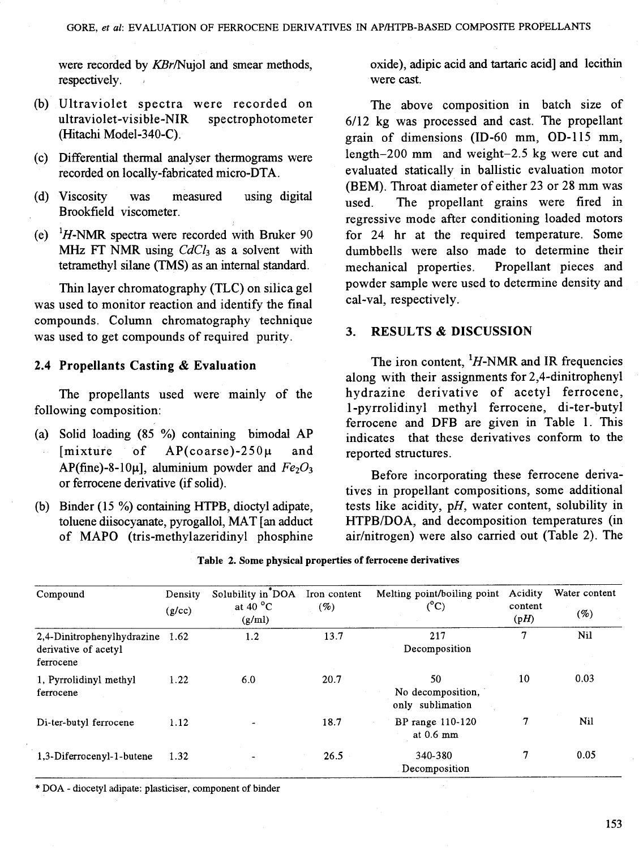respectively. Were cast.

- (b) Ultraviolet spectra were recorded on The above composition in batch size of
- 
- 
- 

was used to monitor reaction and identify the final compounds. Column chromatography technique was used to get compounds of required purity. **3. RESULTS & DISCUSSION** 

The propellants used were mainly of the following composition: 1-pyrrolidinyl methyl ferrocene, di-ter-butyl

- (a) Solid loading (85 %) containing bimodal AP indicates that these derivatives conform to the [mixture of  $AP$ (coarse)-250 $\mu$  and reported structures.
	-
- (b) Binder (15 %) containing HTPB, dioctyl adipate, toluene diisocyanate, pyrogallol, MAT  $[$ an adduct

were recorded by KBr/Nujol and smear methods, oxide), adipic acid and tartaric acid] and lecithin

ultraviolet-visible-NIR spectrophotometer 6/12 kg was processed and cast. The propellant (Hitachi Model-340-C). grain of dimensions (ID-60 mm, OD-1 15 mm, (c) Differential thermal analyser thermograms were length-200 mm and weight-2.5 kg were cut and recorded on locally-fabricated micro-DTA. evaluated statically in ballistic evaluation motor (BEM). Throat diameter of either 23 or 28 mm was (d) Viscosity was measured using digital used. The propellant grains were fired in<br>Brookfield viscometer. regressive mode after conditioning loaded motors (e) <sup>1</sup>H-NMR spectra were recorded with Bruker 90 for 24 hr at the required temperature. Some MHz FT NMR using CdCl<sub>3</sub> as a solvent with dumbbells were also made to determine their dumbbells were also made to determine their tetrarnethyl silane (TMS) as an internal standard. mechanical properties. Propellant pieces and Thin layer chromatography (TLC) on silica gel powder sample were used to determine density and used to monitor reaction and identify the final cal-val, respectively.

**2.4 Propellants Casting** & **Evaluation** The iron content, 'H-NMR and IR frequencies along with their assignments for 2,4-dinitrophenyl<br>hydrazine derivative of acetyl ferrocene, ferrocene and DFB are given in Table 1. This

 $AP(\text{fine})-8-10\mu$ ], aluminium powder and  $Fe<sub>2</sub>O<sub>3</sub>$  Before incorporating these ferrocene deriva-<br>or ferrocene derivative (if solid). tives in propellant compositions, some additional tests like acidity,  $pH$ , water content, solubility in toluene diisocyanate, pyrogallol, MAT [an adduct HTPB/DOA, and decomposition temperatures (in of MAPO (tris-methylazeridinyl phosphine air/nitrogen) were also carried out (Table 2). The air/nitrogen) were also carried out (Table 2). The

| Compound                                                        | Density<br>(g/cc) | Solubility in*DOA<br>at 40 $^{\circ}$ C<br>(g/ml) | Iron content<br>(%) | Melting point/boiling point<br>$(^{\circ}C)$ | Acidity<br>content<br>(pH) | Water content<br>(%) |
|-----------------------------------------------------------------|-------------------|---------------------------------------------------|---------------------|----------------------------------------------|----------------------------|----------------------|
| 2,4-Dinitrophenylhydrazine<br>derivative of acetyl<br>ferrocene | 1.62              | 1.2                                               | 13.7                | 217<br>Decomposition                         | 7                          | Nil                  |
| 1. Pyrrolidinyl methyl<br>ferrocene                             | 1.22              | 6.0                                               | 20.7                | 50<br>No decomposition,<br>only sublimation  | 10                         | 0.03                 |
| Di-ter-butyl ferrocene                                          | 1.12              |                                                   | 18.7                | BP range 110-120<br>at $0.6$ mm              | 7                          | $N_{1}$              |
| 1,3-Diferrocenyl-1-butene                                       | 1.32              |                                                   | 26.5                | 340-380<br>Decomposition                     | 7                          | 0.05                 |

#### **Table 2. Some physical properties of ferrocene derivatives**

\* DOA - diocetyl adipate: plasticiser, component of binder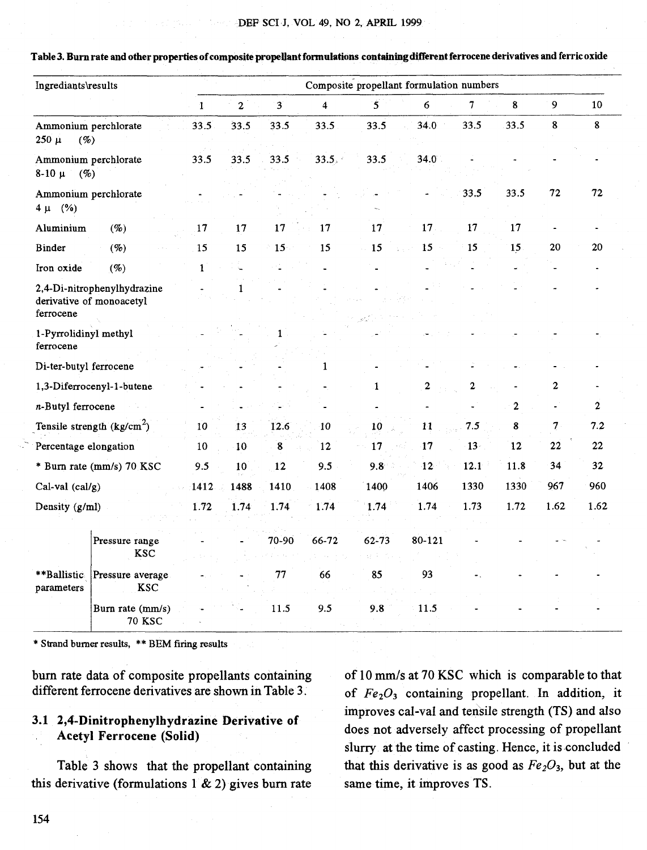|                                          | ${\bf Ingrediants}$                                     |             |                |        |        | Composite propellant formulation numbers |                 |                  |                  |      |              |
|------------------------------------------|---------------------------------------------------------|-------------|----------------|--------|--------|------------------------------------------|-----------------|------------------|------------------|------|--------------|
|                                          |                                                         | $\mathbf 1$ | $\overline{2}$ | 3      | 4      | 5                                        | 6               | 7                | 8                | 9    | 10           |
| $250 \mu$<br>$(\%)$                      | Ammonium perchlorate                                    | 33.5        | 33.5           | 33.5   | 33.5   | 33.5                                     | 34.0            | 33.5             | 33.5             | 8    | $\bf 8$      |
| Ammonium perchlorate<br>$8-10 \mu$<br>(% |                                                         | 33.5        | 33.5           | 33.5   | 33.5.4 | 33.5                                     | 34.0            |                  |                  |      |              |
| Ammonium perchlorate<br>(%)<br>4μ        |                                                         |             |                |        |        |                                          |                 | 33.5             | 33.5             | 72   | 72           |
| Aluminium                                | (%)                                                     | 17          | 17             | 17     | 17     | 17                                       | 17 <sub>1</sub> | 17               | 17               |      |              |
| Binder                                   | (%)                                                     | 15          | 15             | 15     | 15     | 15                                       | 15              | 15               | 15               | 20   | 20           |
| Iron oxide                               | (%)                                                     | 1           |                |        |        |                                          |                 |                  |                  |      |              |
| ferrocene                                | 2,4-Di-nitrophenylhydrazine<br>derivative of monoacetyl |             |                |        |        |                                          |                 |                  |                  |      |              |
| 1-Pyrrolidinyl methyl<br>ferrocene       |                                                         |             |                |        |        |                                          |                 |                  |                  |      |              |
| Di-ter-butyl ferrocene                   |                                                         |             |                |        | 1      |                                          |                 |                  |                  |      |              |
|                                          | 1,3-Diferrocenyl-1-butene                               |             |                |        |        | $\mathbf{1}$                             | 2               | $\boldsymbol{2}$ |                  | 2    |              |
| n-Butyl ferrocene                        |                                                         |             |                |        |        |                                          |                 |                  | $\boldsymbol{2}$ |      | $\mathbf{2}$ |
|                                          | Tensile strength $(kg/cm2)$                             | 10          | 13             | 12.6   | -10    | 10                                       | 11              | 7.5              | 8                | 7    | 7.2          |
| Percentage elongation                    |                                                         | 10          | 10             | 8      | 12     | 17                                       | 17              | $13 -$           | 12               | 22   | 22           |
|                                          | * Burn rate (mm/s) 70 KSC                               | 9.5         | 10             | 12     | 9.5    | 9.8                                      | 12              | 12.1             | 11.8             | 34   | 32           |
| Cal-val $(cal/g)$                        |                                                         | 1412        | 1488           | 1410   | 1408   | 1400                                     | 1406            | 1330             | 1330             | 967  | 960          |
| Density (g/ml)                           |                                                         | 1.72        | 1.74           | 1.74   | 1.74   | 1.74                                     | 1.74            | 1.73             | 1.72             | 1.62 | 1.62         |
|                                          | Pressure range<br><b>KSC</b>                            |             |                | 70-90  | 66-72  | 62-73                                    | 80-121          |                  |                  |      |              |
| **Ballistic<br>parameters                | Pressure average<br><b>KSC</b>                          |             |                | $77\,$ | 66     | 85                                       | 93              |                  |                  |      |              |
|                                          | Burn rate (mm/s)<br><b>70 KSC</b>                       |             |                | 11.5   | 9.5    | 9.8                                      | 11.5            |                  |                  |      |              |

Table 3. Burn rate and other properties of composite propellant formulations containing different ferrocene derivatives and ferric oxide

\* Strand burner results, \*\* BEM firing results

burn rate data of composite propellants containing of 10 mm/s at 70 KSC which is comparable to that different ferrocene derivatives are shown in Table 3.

this derivative (formulations 1  $\&$  2) gives burn rate same time, it improves TS.

of  $Fe<sub>2</sub>O<sub>3</sub>$  containing propellant. In addition, it improves cal-val and tensile strength (TS) and also 3.1 **2,4-Dinitrophenylhydrazine** Derivative of does not adversely affect processing of propellant slurry at the time of casting. Hence, it is concluded Table 3 shows that the propellant containing that this derivative is as good as  $Fe<sub>2</sub>O<sub>3</sub>$ , but at the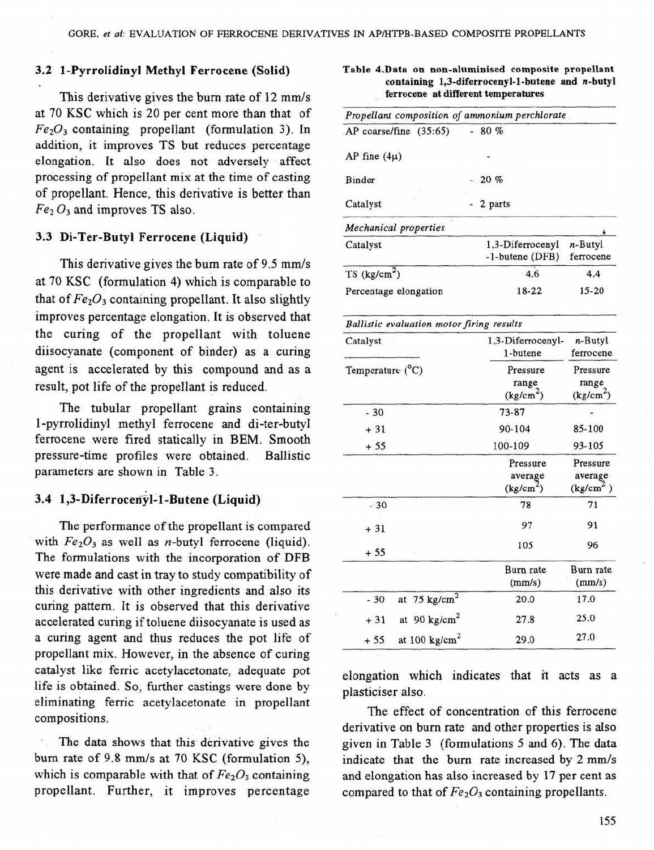## **3.2** 1-Pyrrolidinyl Methyl Ferrocene (Solid)

This derivative gives the burn rate of 12 mm/s at 70 KSC which is 20 per cent more than that of *Fe203* containing propellant (formulation 3). In addition, it improves TS but reduces percentage elongation. It also does not adversely affect processing of propellant mix at the time of casting of propellant. Hence, this derivative is better than  $Fe<sub>2</sub> O<sub>3</sub>$  and improves TS also.

## **3.3** Di-Ter-Butyl Ferrocene (Liquid)

This derivative gives the burn rate of 9.5 mm/s at 70 KSC (formulation 4) which is comparable to that of  $Fe<sub>2</sub>O<sub>3</sub>$  containing propellant. It also slightly improves percentage elongation. It is observed that the curing of the propellant with toluene diisocyanate (component of binder) as a curing agent is accelerated by this compound and as a result, pot life of the propellant is reduced.

The tubular propellant grains containing 1-pyrrolidinyl methyl ferrocene and di-ter-butyl ferrocene were fired statically in BEM. Smooth pressure-time profiles were obtained. Ballistic parameters are shown in Table 3.

### 3.4 1,3-Diferrocenyl-1-Butene (Liquid)

The performance of the propellant is compared with  $Fe<sub>2</sub>O<sub>3</sub>$  as well as *n*-butyl ferrocene (liquid). The formulations with the incorporation of DFB were made and cast in tray to study compatibility of this derivative with other ingredients and also its curing pattern. It is observed that this derivative accelerated curing if toluene diisocyanate is used as a curing agent and thus reduces the pot life of propellant mix. However, in the absence of curing catalyst like ferric acetylacetonate, adequate pot life is obtained. So, further castings were done by eliminating ferric acetylacetonate in propellant compositions.

The data shows that this derivative gives the burn rate of 9.8 mm/s at 70 KSC (formulation 5), which is comparable with that of  $Fe<sub>2</sub>O<sub>3</sub>$  containing propellant. Further, it improves percentage

| Propellant composition of ammonium perchlorate |                                        |  |  |  |  |
|------------------------------------------------|----------------------------------------|--|--|--|--|
| $-80%$                                         |                                        |  |  |  |  |
|                                                |                                        |  |  |  |  |
| $-20 \%$                                       |                                        |  |  |  |  |
| - 2 parts                                      |                                        |  |  |  |  |
|                                                |                                        |  |  |  |  |
|                                                | $n-Butyl$<br>ferrocene                 |  |  |  |  |
| 4.6                                            | 4.4                                    |  |  |  |  |
| 18-22                                          | $15 - 20$                              |  |  |  |  |
|                                                | 1,3-Diferrocenyl<br>$-1$ -butene (DFB) |  |  |  |  |

**Table 4.Data on non-aluminised composite propellant** 

**containing 1,3-diferrocenyl-1-butene and n-butyl** 

| Catalyst                           | 1,3-Diferrocenyl-<br>1-butene                | n-Butyl<br>ferrocene<br>Pressure<br>range<br>(kg/cm <sup>2</sup> ) |  |
|------------------------------------|----------------------------------------------|--------------------------------------------------------------------|--|
| Temperature (°C)                   | Pressure<br>range<br>(kg/cm <sup>2</sup> )   |                                                                    |  |
| $-30$                              | 73-87                                        |                                                                    |  |
| $+31$                              | 90-104                                       | 85-100                                                             |  |
| $+55$                              | 100-109                                      | 93-105                                                             |  |
|                                    | Pressure<br>average<br>(kg/cm <sup>2</sup> ) | Pressure<br>average<br>(kg/cm <sup>2</sup> )                       |  |
| $-30$                              | 78                                           | 71                                                                 |  |
| $+31$                              | 97                                           | 91                                                                 |  |
| $+55$                              | 105                                          | 96                                                                 |  |
|                                    | Burn rate<br>(mm/s)                          | Burn rate<br>(mm/s)                                                |  |
| at $75 \text{ kg/cm}^2$<br>$-30$   | 20.0                                         | 17.0                                                               |  |
| at 90 kg/cm <sup>2</sup><br>$+31$  | 27.8                                         | 25.0                                                               |  |
| at 100 kg/cm <sup>2</sup><br>$+55$ | 29.0                                         | 27.0                                                               |  |

elongation which indicates that it acts as a plasticiser also.

The effect of concentration of this ferrocene derivative on burn rate and other properties is also given in Table 3 (formulations 5 and *6).* The data indicate that the burn rate increased by 2 mm/s and elongation has also increased by 17 per cent as compared to that of  $Fe<sub>2</sub>O<sub>3</sub>$  containing propellants.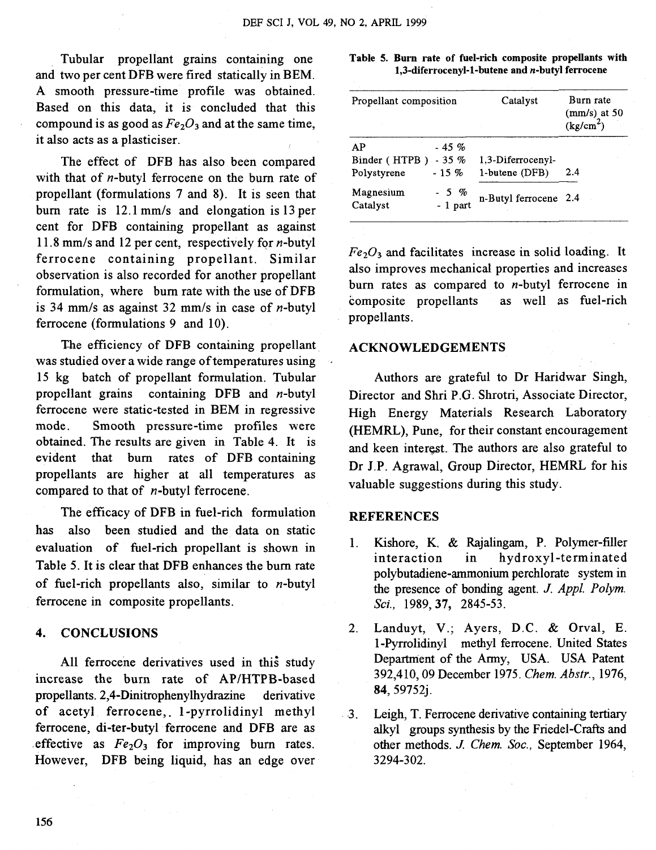Tubular propellant grains containing one and two per cent DFB were fired statically in BEM. A smooth pressure-time profile was obtained. Based on this data, it is concluded that this compound is as good as  $Fe<sub>2</sub>O<sub>3</sub>$  and at the same time, it also acts as a plasticiser.

The effect of DFB has also been compared with that of *n*-butyl ferrocene on the burn rate of propellant (formulations 7 and 8). It is seen that burn rate is 12.1 mm/s and elongation is 13 per cent for DFB containing propellant as against 11.8 mm/s and 12 per cent, respectively for  $n$ -butyl ferrocene containing propellant. Similar observation is also recorded for another propellant formulation, where bum rate with the use of DFB is 34 mm/s as against 32 mm/s in case of  $n$ -butyl ferrocene (formulations 9 and 10).

The efficiency of DFB containing propellant was studied over a wide range of temperatures using 15 kg batch of propellant formulation. Tubular propellant grains containing DFB and n-butyl ferrocene were static-tested in BEM in regressive mode. Smooth pressure-time profiles were obtained. The results are given in Table 4. It is evident that bum rates of DFB containing propellants are higher at all temperatures as compared to that of n-butyl ferrocene.

The efficacy of DFB in fuel-rich formulation has also been studied and the data on static evaluation of fuel-rich propellant is shown in Table 5. It is clear that DFB enhances the bum rate of fuel-rich propellants also, similar to  $n$ -butyl ferrocene in composite propellants.

#### **4. CONCLUSIONS**

All ferrocene derivatives used in this study increase the burn rate of AP/HTPB-based propellants. **2,4-Dinitrophenylhydrazine** derivative of acetyl ferrocene, 1-pyrrolidinyl methyl ferrocene, di-ter-butyl ferrocene and DFB are as effective as  $Fe<sub>2</sub>O<sub>3</sub>$  for improving burn rates. However, DFB being liquid, has an edge over

#### **Table 5. Burn rate of fuel-rich composite propellants with 1,3-diferrocenyl-1-butene and n-butyl ferrocene**

| Propellant composition                             | Catalyst                            | Burn rate<br>(mm/s) at 50<br>(kg/cm <sup>2</sup> ) |  |
|----------------------------------------------------|-------------------------------------|----------------------------------------------------|--|
| AP<br>$-45%$                                       |                                     |                                                    |  |
| Binder (HTPB)<br>$-35\%$<br>$-15\%$<br>Polystyrene | 1.3-Diferrocenyl-<br>1-butene (DFB) | 2.4                                                |  |
| Magnesium<br>$-5$ %<br>$-1$ part<br>Catalyst       | n-Butyl ferrocene 2.4               |                                                    |  |

 $Fe<sub>2</sub>O<sub>3</sub>$  and facilitates increase in solid loading. It also improves mechanical properties and increases burn rates as compared to  $n$ -butyl ferrocene in composite propellants as well as fuel-rich composite propellants propellants.

#### **ACKNOWLEDGEMENTS**

Authors are grateful to Dr Haridwar Singh, Director and Shri P.G. Shrotri, Associate Director, High Energy Materials Research Laboratory (HEMRL), Pune, for their constant encouragement and keen interest. The authors are also grateful to Dr J.P. Agrawal, Group Director, HEMRL for his valuable suggestions during this study.

#### **REFERENCES**

- 1. Kishore, K. & Rajalingam, P. Polymer-filler interaction in hydroxyl-terminated polybutadiene-ammonium perchlorate system in the presence of bonding agent. J. *Appl. Polym.*  **Sci.,** 1989,37, 2845-53.
- 2. Landuyt, V.; Ayers, D.C. & Orval, E. 1 -Pyrrolidinyl methyl ferrocene. United States Department of the Army, USA. USA Patent 392,4 10,09 December 1975. *Chem. Abstr.,* 1976, *84,* 59752j.
- **3.** Leigh, T. Ferrocene derivative containing tertiary alkyl groups synthesis by the Friedel-Crafts and other methods. *J. Chem.* **Soc.,** September 1964, 3294-302.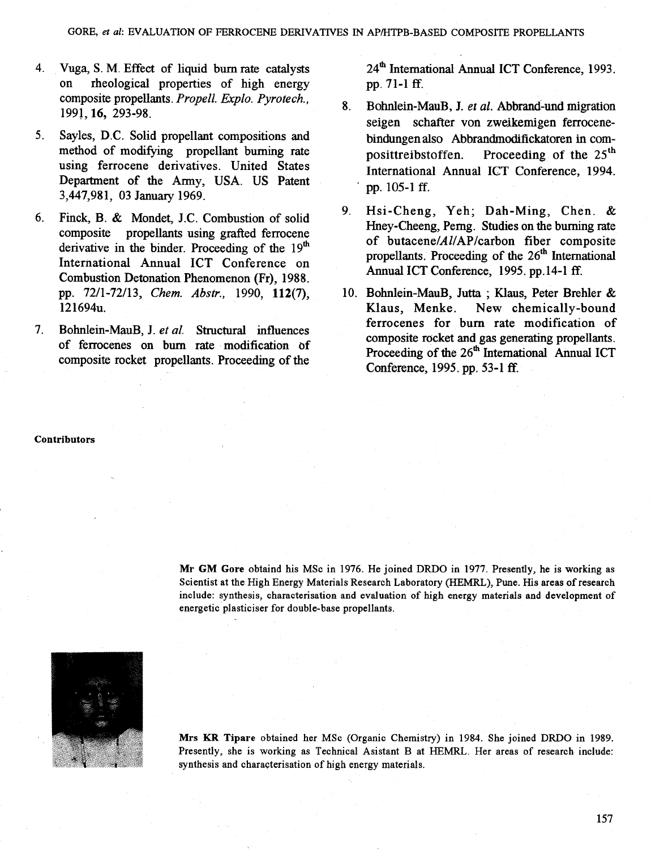- 4. Vuga, S. M. Effect of liquid burn rate catalysts on rheological properties of high energy composite propellants. Propell. Explo. Pyrotech., 1991,16, 293-98.
- 5. Sayles, D.C. Solid propellant compositions and method of modifying propellant burning rate using ferrocene derivatives. United States Department of the Army, USA. US Patent 3,447,981, 03 January 1969.
- 6. Finck, B. & Mondet, J.C. Combustion of solid composite propellants using grafted ferrocene derivative in the binder. Proceeding of the  $19<sup>th</sup>$ International Annual ICT Conference on Combustion Detonation Phenomenon (Fr), 1988. pp. 7211-72113, Chem. Abstr., 1990, 112(7), 121694u.
- 7. Bohnlein-MauB, J. et al. Structural influences of ferrocenes on burn rate modification of composite rocket propellants. Proceeding of the

24<sup>th</sup> International Annual ICT Conference, 1993. pp. 71-1 **ff.** 

- 8. Bohnlein-MauB, J. et al. Abbrand-und migration seigen schafter von zweikemigen ferrocenebindungen also Abbrandrnodifickatoren in composittreibstoffen. Proceeding of the  $25<sup>th</sup>$ International Annual ICT Conference, 1994. pp. 105-1 ff.
- 9. Hsi-Cheng, Yeh; Dah-Ming, Chen. & Hney-Cheeng, Perng. Studies on the burning rate of butacene/Al/AP/carbon fiber composite propellants. Proceeding of the 26" International Annual ICT Conference, 1995. pp. 14-1 ff.
- 10. Bohnlein-MauB, Jutta ; Klaus, Peter Brehler & Klaus, Menke. New chemically-bound ferrocenes for bum rate modification of composite rocket and gas generating propellants. Proceeding of the 26<sup>th</sup> International Annual ICT Conference, 1995. pp. 53-1 ff.

#### **Contributors**

**Mr GM Gore** obtaind his MSc in 1976. He joined DRDO in 1977. Presently, he is working as Scientist at the High Energy Materials Research Laboratory (HEMRL), Pune. His areas of research include: synthesis, characterisation and evaluation of high energy materials and development of energetic plasticiser for double-base propellants.



**Mrs KR Tipare** obtained her MSc (Organic Chemistry) in 1984. She joined DRDO in 1989. Presently, she is working as Technical Asistant B at HEMRL. Her areas of research include: synthesis and characterisation of high energy materials.